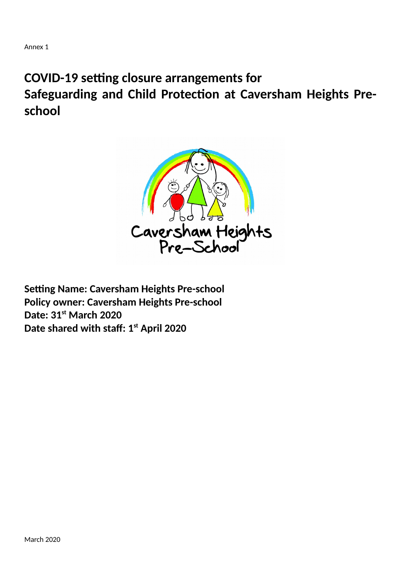Annex 1

# **COVID-19 setting closure arrangements for Safeguarding and Child Protection at Caversham Heights Preschool**



**Setting Name: Caversham Heights Pre-school Policy owner: Caversham Heights Pre-school Date: 31st March 2020 Date shared with staff: 1st April 2020**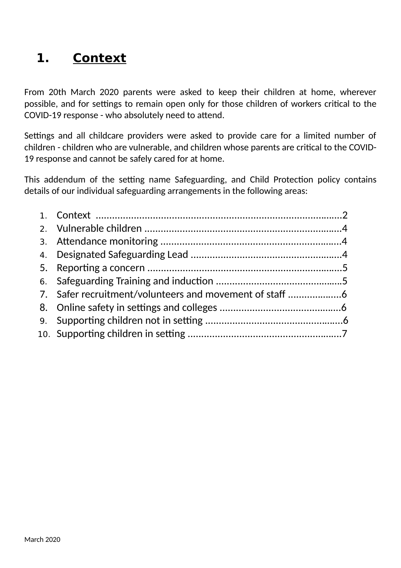# **1. Context**

From 20th March 2020 parents were asked to keep their children at home, wherever possible, and for settings to remain open only for those children of workers critical to the COVID-19 response - who absolutely need to attend.

Settings and all childcare providers were asked to provide care for a limited number of children - children who are vulnerable, and children whose parents are critical to the COVID-19 response and cannot be safely cared for at home.

This addendum of the setting name Safeguarding, and Child Protection policy contains details of our individual safeguarding arrangements in the following areas: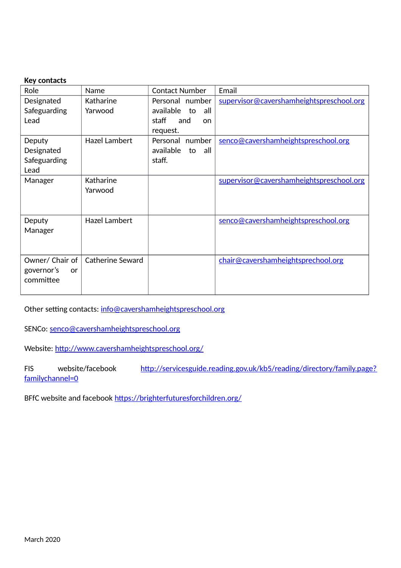#### **Key contacts**

| Role             | Name                    | <b>Contact Number</b>  | Email                                    |
|------------------|-------------------------|------------------------|------------------------------------------|
| Designated       | Katharine               | Personal number        | supervisor@cavershamheightspreschool.org |
| Safeguarding     | Yarwood                 | available<br>all<br>to |                                          |
| Lead             |                         | staff<br>and<br>on     |                                          |
|                  |                         | request.               |                                          |
| Deputy           | Hazel Lambert           | Personal number        | senco@cavershamheightspreschool.org      |
| Designated       |                         | available<br>all<br>to |                                          |
| Safeguarding     |                         | staff.                 |                                          |
| Lead             |                         |                        |                                          |
| Manager          | Katharine               |                        | supervisor@cavershamheightspreschool.org |
|                  | Yarwood                 |                        |                                          |
|                  |                         |                        |                                          |
|                  |                         |                        |                                          |
| Deputy           | Hazel Lambert           |                        | senco@cavershamheightspreschool.org      |
| Manager          |                         |                        |                                          |
|                  |                         |                        |                                          |
|                  |                         |                        |                                          |
| Owner/ Chair of  | <b>Catherine Seward</b> |                        | chair@cavershamheightsprechool.org       |
| governor's<br>or |                         |                        |                                          |
| committee        |                         |                        |                                          |
|                  |                         |                        |                                          |

Other setting contacts: [info@cavershamheightspreschool.org](mailto:info@cavershamheightspreschool.org)

SENCo: [senco@cavershamheightspreschool.org](mailto:senco@cavershamheightspreschool.org)

Website:<http://www.cavershamheightspreschool.org/>

FIS website/facebook [http://servicesguide.reading.gov.uk/kb5/reading/directory/family.page?](http://servicesguide.reading.gov.uk/kb5/reading/directory/family.page?familychannel=0) [familychannel=0](http://servicesguide.reading.gov.uk/kb5/reading/directory/family.page?familychannel=0)

BFfC website and facebook<https://brighterfuturesforchildren.org/>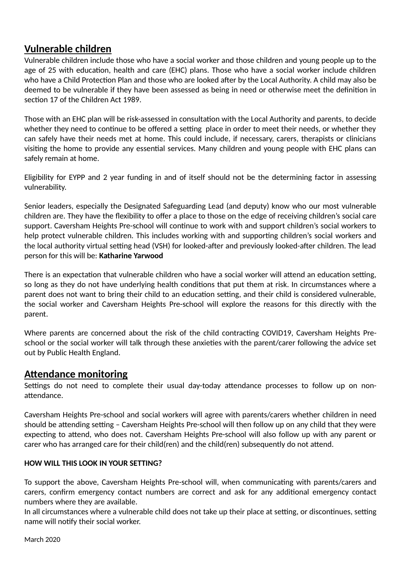## **Vulnerable children**

Vulnerable children include those who have a social worker and those children and young people up to the age of 25 with education, health and care (EHC) plans. Those who have a social worker include children who have a Child Protection Plan and those who are looked after by the Local Authority. A child may also be deemed to be vulnerable if they have been assessed as being in need or otherwise meet the definition in section 17 of the Children Act 1989.

Those with an EHC plan will be risk-assessed in consultation with the Local Authority and parents, to decide whether they need to continue to be offered a setting place in order to meet their needs, or whether they can safely have their needs met at home. This could include, if necessary, carers, therapists or clinicians visiting the home to provide any essential services. Many children and young people with EHC plans can safely remain at home.

Eligibility for EYPP and 2 year funding in and of itself should not be the determining factor in assessing vulnerability.

Senior leaders, especially the Designated Safeguarding Lead (and deputy) know who our most vulnerable children are. They have the flexibility to offer a place to those on the edge of receiving children's social care support. Caversham Heights Pre-school will continue to work with and support children's social workers to help protect vulnerable children. This includes working with and supporting children's social workers and the local authority virtual setting head (VSH) for looked-after and previously looked-after children. The lead person for this will be: **Katharine Yarwood**

There is an expectation that vulnerable children who have a social worker will attend an education setting, so long as they do not have underlying health conditions that put them at risk. In circumstances where a parent does not want to bring their child to an education setting, and their child is considered vulnerable, the social worker and Caversham Heights Pre-school will explore the reasons for this directly with the parent.

Where parents are concerned about the risk of the child contracting COVID19, Caversham Heights Preschool or the social worker will talk through these anxieties with the parent/carer following the advice set out by Public Health England.

### **Attendance monitoring**

Settings do not need to complete their usual day-today attendance processes to follow up on nonattendance.

Caversham Heights Pre-school and social workers will agree with parents/carers whether children in need should be attending setting – Caversham Heights Pre-school will then follow up on any child that they were expecting to attend, who does not. Caversham Heights Pre-school will also follow up with any parent or carer who has arranged care for their child(ren) and the child(ren) subsequently do not attend.

#### **HOW WILL THIS LOOK IN YOUR SETTING?**

To support the above, Caversham Heights Pre-school will, when communicating with parents/carers and carers, confirm emergency contact numbers are correct and ask for any additional emergency contact numbers where they are available.

In all circumstances where a vulnerable child does not take up their place at setting, or discontinues, setting name will notify their social worker.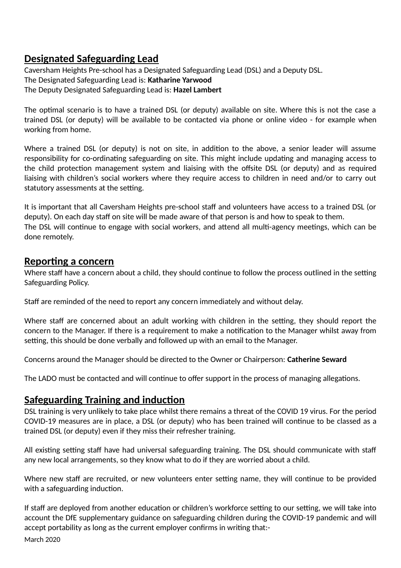## **Designated Safeguarding Lead**

Caversham Heights Pre-school has a Designated Safeguarding Lead (DSL) and a Deputy DSL. The Designated Safeguarding Lead is: **Katharine Yarwood** The Deputy Designated Safeguarding Lead is: **Hazel Lambert**

The optimal scenario is to have a trained DSL (or deputy) available on site. Where this is not the case a trained DSL (or deputy) will be available to be contacted via phone or online video - for example when working from home.

Where a trained DSL (or deputy) is not on site, in addition to the above, a senior leader will assume responsibility for co-ordinating safeguarding on site. This might include updating and managing access to the child protection management system and liaising with the offsite DSL (or deputy) and as required liaising with children's social workers where they require access to children in need and/or to carry out statutory assessments at the setting.

It is important that all Caversham Heights pre-school staff and volunteers have access to a trained DSL (or deputy). On each day staff on site will be made aware of that person is and how to speak to them. The DSL will continue to engage with social workers, and attend all multi-agency meetings, which can be done remotely.

#### **Reporting a concern**

Where staff have a concern about a child, they should continue to follow the process outlined in the setting Safeguarding Policy.

Staff are reminded of the need to report any concern immediately and without delay.

Where staff are concerned about an adult working with children in the setting, they should report the concern to the Manager. If there is a requirement to make a notification to the Manager whilst away from setting, this should be done verbally and followed up with an email to the Manager.

Concerns around the Manager should be directed to the Owner or Chairperson: **Catherine Seward**

The LADO must be contacted and will continue to offer support in the process of managing allegations.

### **Safeguarding Training and induction**

DSL training is very unlikely to take place whilst there remains a threat of the COVID 19 virus. For the period COVID-19 measures are in place, a DSL (or deputy) who has been trained will continue to be classed as a trained DSL (or deputy) even if they miss their refresher training.

All existing setting staff have had universal safeguarding training. The DSL should communicate with staff any new local arrangements, so they know what to do if they are worried about a child.

Where new staff are recruited, or new volunteers enter setting name, they will continue to be provided with a safeguarding induction.

If staff are deployed from another education or children's workforce setting to our setting, we will take into account the DfE supplementary guidance on safeguarding children during the COVID-19 pandemic and will accept portability as long as the current employer confirms in writing that:-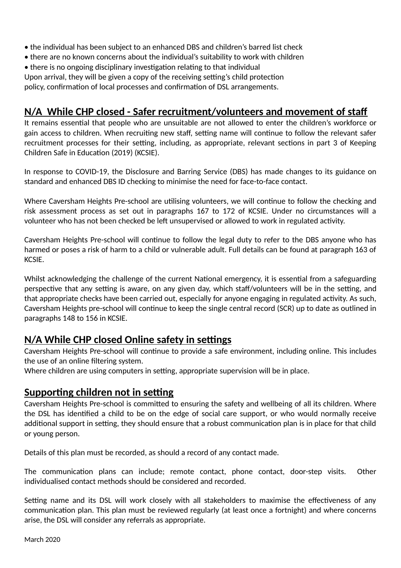- the individual has been subject to an enhanced DBS and children's barred list check
- there are no known concerns about the individual's suitability to work with children
- there is no ongoing disciplinary investigation relating to that individual

Upon arrival, they will be given a copy of the receiving setting's child protection

policy, confirmation of local processes and confirmation of DSL arrangements.

### **N/A While CHP closed - Safer recruitment/volunteers and movement of staff**

It remains essential that people who are unsuitable are not allowed to enter the children's workforce or gain access to children. When recruiting new staff, setting name will continue to follow the relevant safer recruitment processes for their setting, including, as appropriate, relevant sections in part 3 of Keeping Children Safe in Education (2019) (KCSIE).

In response to COVID-19, the Disclosure and Barring Service (DBS) has made changes to its guidance on standard and enhanced DBS ID checking to minimise the need for face-to-face contact.

Where Caversham Heights Pre-school are utilising volunteers, we will continue to follow the checking and risk assessment process as set out in paragraphs 167 to 172 of KCSIE. Under no circumstances will a volunteer who has not been checked be left unsupervised or allowed to work in regulated activity.

Caversham Heights Pre-school will continue to follow the legal duty to refer to the DBS anyone who has harmed or poses a risk of harm to a child or vulnerable adult. Full details can be found at paragraph 163 of KCSIE.

Whilst acknowledging the challenge of the current National emergency, it is essential from a safeguarding perspective that any setting is aware, on any given day, which staff/volunteers will be in the setting, and that appropriate checks have been carried out, especially for anyone engaging in regulated activity. As such, Caversham Heights pre-school will continue to keep the single central record (SCR) up to date as outlined in paragraphs 148 to 156 in KCSIE.

#### **N/A While CHP closed Online safety in settings**

Caversham Heights Pre-school will continue to provide a safe environment, including online. This includes the use of an online filtering system.

Where children are using computers in setting, appropriate supervision will be in place.

#### **Supporting children not in setting**

Caversham Heights Pre-school is committed to ensuring the safety and wellbeing of all its children. Where the DSL has identified a child to be on the edge of social care support, or who would normally receive additional support in setting, they should ensure that a robust communication plan is in place for that child or young person.

Details of this plan must be recorded, as should a record of any contact made.

The communication plans can include; remote contact, phone contact, door-step visits. Other individualised contact methods should be considered and recorded.

Setting name and its DSL will work closely with all stakeholders to maximise the effectiveness of any communication plan. This plan must be reviewed regularly (at least once a fortnight) and where concerns arise, the DSL will consider any referrals as appropriate.